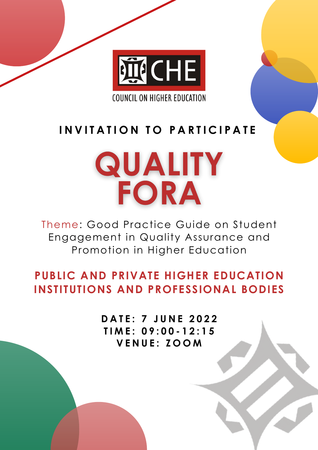

**COUNCIL ON HIGHER EDUCATION** 

**D A T E : 7 J U N E 2 0 2 2 T I M E : 0 9 : 0 0 - 1 2 : 1 5 V E N U E : Z O O M**

Theme: Good Practice Guide on Student Engagement in Quality Assurance and Promotion in Higher Education

### **PUBLIC AND PRIVATE HIGHER EDUCATION INSTITUTIONS AND PROFESSIONAL BODIES**

### **I N V I T A T I O N T O P A R T I C I P A T E**

# QUALITY FORA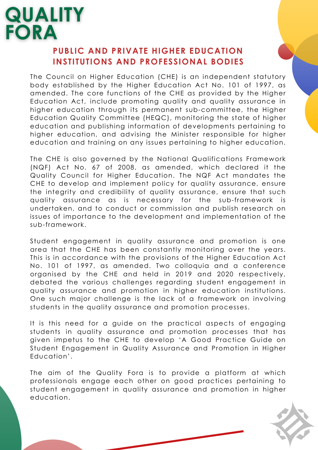The Council on Higher Education (CHE) is an independent statutory body established by the Higher Education Act No. 101 of 1997, as amended. The core functions of the CHE as provided by the Higher Education Act, include promoting quality and quality assurance in higher education through its permanent sub-committee, the Higher Education Quality Committee (HEQC), monitoring the state of higher education and publishing information of developments pertaining to higher education, and advising the Minister responsible for higher education and training on any issues pertaining to higher education.

The CHE is also governed by the National Qualifications Framework (NQF) Act No. 67 of 2008, as amended, which declared it the Quality Council for Higher Education. The NQF Act mandates the CHE to develop and implement policy for quality assurance, ensure the integrity and credibility of quality assurance, ensure that such quality assurance as is necessary for the sub-framework is undertaken, and to conduct or commission and publish research on issues of importance to the development and implementation of the sub-framework.

Student engagement in quality assurance and promotion is one area that the CHE has been constantly monitoring over the years. This is in accordance with the provisions of the Higher Education Act No. 101 of 1997, as amended. Two colloquia and a conference organised by the CHE and held in 2019 and 2020 respectively, debated the various challenges regarding student engagement in quality assurance and promotion in higher education institutions. One such major challenge is the lack of a framework on involving students in the quality assurance and promotion processes.

The aim of the Quality Fora is to provide a platform at which professionals engage each other on good practices pertaining to student engagement in quality assurance and promotion in higher education.

It is this need for a guide on the practical aspects of engaging students in quality assurance and promotion processes that has given impetus to the CHE to develop 'A Good Practice Guide on Student Engagement in Quality Assurance and Promotion in Higher Education'.

# QUALITY **FORA**

#### **PUBLIC AND PRIVATE HIGHER EDUCATION INSTITUTIONS AND PROFESSIONAL BODIES**